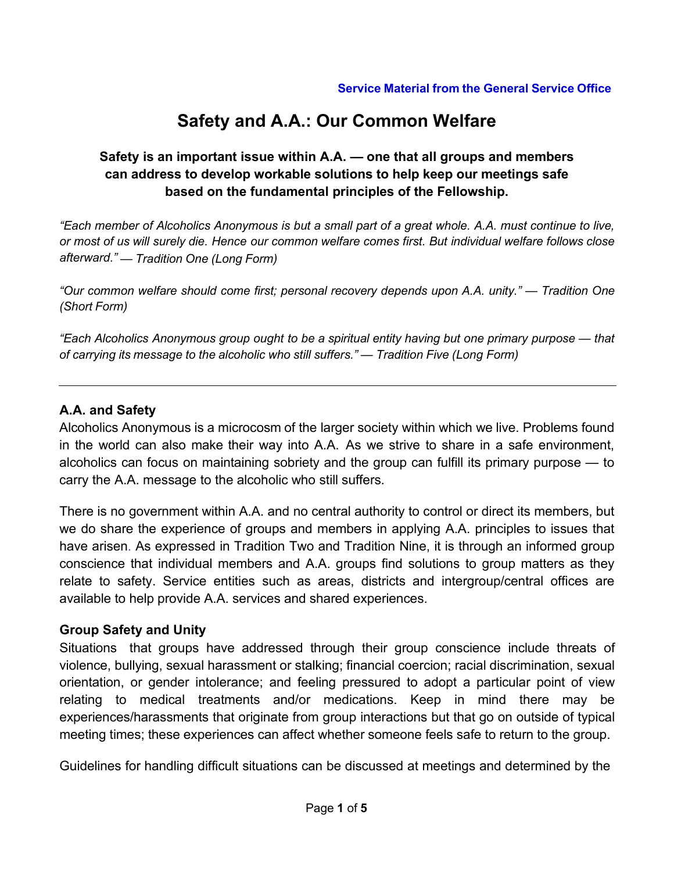# **Safety and A.A.: Our Common Welfare**

## **Safety is an important issue within A.A. — one that all groups and members can address to develop workable solutions to help keep our meetings safe based on the fundamental principles of the Fellowship.**

"Each member of Alcoholics Anonymous is but a small part of a great whole. A.A. must continue to live, *or most of us will surely die. Hence our common welfare comes first. But individual welfare follows close afterward." — Tradition One (Long Form)*

*"Our common welfare should come first; personal recovery depends upon A.A. unity." — Tradition One (Short Form)*

*"Each Alcoholics Anonymous group ought to be a spiritual entity having but one primary purpose — that of carrying its message to the alcoholic who still suffers." — Tradition Five (Long Form)*

#### **A.A. and Safety**

Alcoholics Anonymous is a microcosm of the larger society within which we live. Problems found in the world can also make their way into A.A. As we strive to share in a safe environment, alcoholics can focus on maintaining sobriety and the group can fulfill its primary purpose — to carry the A.A. message to the alcoholic who still suffers.

There is no government within A.A. and no central authority to control or direct its members, but we do share the experience of groups and members in applying A.A. principles to issues that have arisen. As expressed in Tradition Two and Tradition Nine, it is through an informed group conscience that individual members and A.A. groups find solutions to group matters as they relate to safety. Service entities such as areas, districts and intergroup/central offices are available to help provide A.A. services and shared experiences.

#### **Group Safety and Unity**

Situations that groups have addressed through their group conscience include threats of violence, bullying, sexual harassment or stalking; financial coercion; racial discrimination, sexual orientation, or gender intolerance; and feeling pressured to adopt a particular point of view relating to medical treatments and/or medications. Keep in mind there may be experiences/harassments that originate from group interactions but that go on outside of typical meeting times; these experiences can affect whether someone feels safe to return to the group.

Guidelines for handling difficult situations can be discussed at meetings and determined by the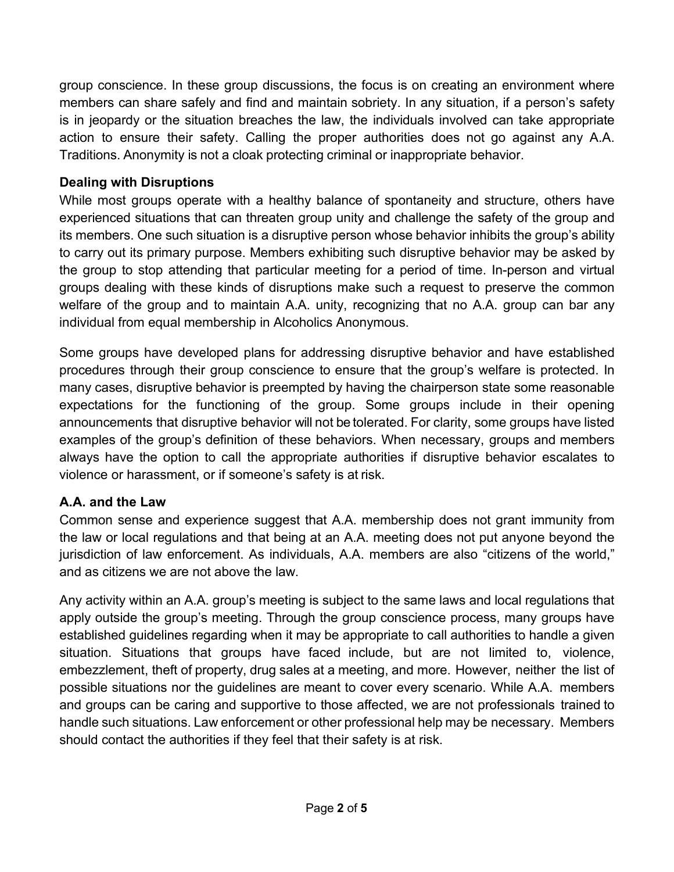group conscience. In these group discussions, the focus is on creating an environment where members can share safely and find and maintain sobriety. In any situation, if a person's safety is in jeopardy or the situation breaches the law, the individuals involved can take appropriate action to ensure their safety. Calling the proper authorities does not go against any A.A. Traditions. Anonymity is not a cloak protecting criminal or inappropriate behavior.

#### **Dealing with Disruptions**

While most groups operate with a healthy balance of spontaneity and structure, others have experienced situations that can threaten group unity and challenge the safety of the group and its members. One such situation is a disruptive person whose behavior inhibits the group's ability to carry out its primary purpose. Members exhibiting such disruptive behavior may be asked by the group to stop attending that particular meeting for a period of time. In-person and virtual groups dealing with these kinds of disruptions make such a request to preserve the common welfare of the group and to maintain A.A. unity, recognizing that no A.A. group can bar any individual from equal membership in Alcoholics Anonymous.

Some groups have developed plans for addressing disruptive behavior and have established procedures through their group conscience to ensure that the group's welfare is protected. In many cases, disruptive behavior is preempted by having the chairperson state some reasonable expectations for the functioning of the group. Some groups include in their opening announcements that disruptive behavior will not be tolerated. For clarity, some groups have listed examples of the group's definition of these behaviors. When necessary, groups and members always have the option to call the appropriate authorities if disruptive behavior escalates to violence or harassment, or if someone's safety is at risk.

# **A.A. and the Law**

Common sense and experience suggest that A.A. membership does not grant immunity from the law or local regulations and that being at an A.A. meeting does not put anyone beyond the jurisdiction of law enforcement. As individuals, A.A. members are also "citizens of the world," and as citizens we are not above the law.

Any activity within an A.A. group's meeting is subject to the same laws and local regulations that apply outside the group's meeting. Through the group conscience process, many groups have established guidelines regarding when it may be appropriate to call authorities to handle a given situation. Situations that groups have faced include, but are not limited to, violence, embezzlement, theft of property, drug sales at a meeting, and more. However, neither the list of possible situations nor the guidelines are meant to cover every scenario. While A.A. members and groups can be caring and supportive to those affected, we are not professionals trained to handle such situations. Law enforcement or other professional help may be necessary. Members should contact the authorities if they feel that their safety is at risk.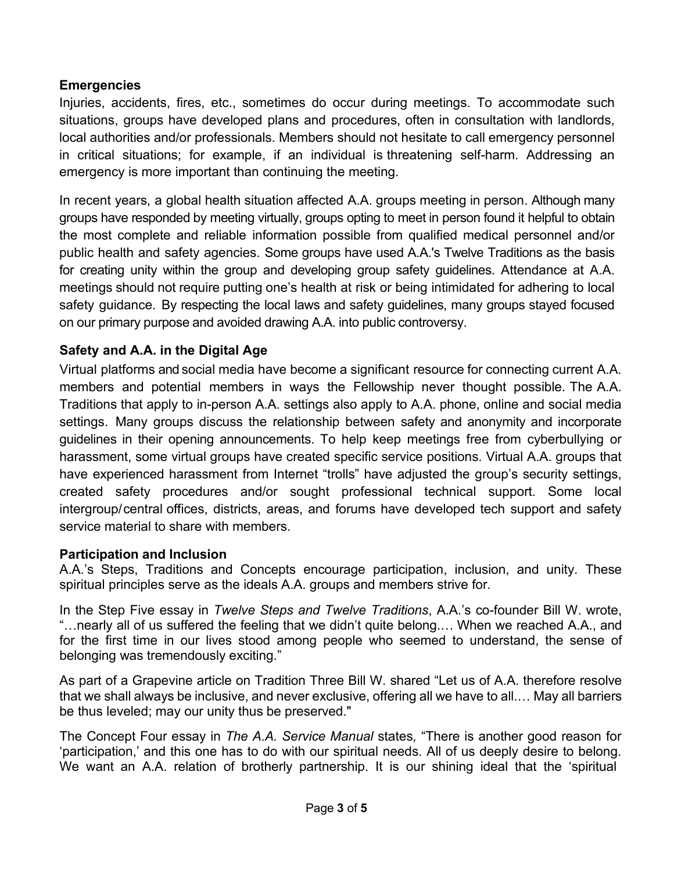# **Emergencies**

Injuries, accidents, fires, etc., sometimes do occur during meetings. To accommodate such situations, groups have developed plans and procedures, often in consultation with landlords, local authorities and/or professionals. Members should not hesitate to call emergency personnel in critical situations; for example, if an individual is threatening self-harm. Addressing an emergency is more important than continuing the meeting.

In recent years, a global health situation affected A.A. groups meeting in person. Although many groups have responded by meeting virtually, groups opting to meet in person found it helpful to obtain the most complete and reliable information possible from qualified medical personnel and/or public health and safety agencies. Some groups have used A.A.'s Twelve Traditions as the basis for creating unity within the group and developing group safety guidelines. Attendance at A.A. meetings should not require putting one's health at risk or being intimidated for adhering to local safety guidance. By respecting the local laws and safety guidelines, many groups stayed focused on our primary purpose and avoided drawing A.A. into public controversy.

#### **Safety and A.A. in the Digital Age**

Virtual platforms and social media have become a significant resource for connecting current A.A. members and potential members in ways the Fellowship never thought possible. The A.A. Traditions that apply to in-person A.A. settings also apply to A.A. phone, online and social media settings. Many groups discuss the relationship between safety and anonymity and incorporate guidelines in their opening announcements. To help keep meetings free from cyberbullying or harassment, some virtual groups have created specific service positions. Virtual A.A. groups that have experienced harassment from Internet "trolls" have adjusted the group's security settings, created safety procedures and/or sought professional technical support. Some local intergroup/central offices, districts, areas, and forums have developed tech support and safety service material to share with members.

#### **Participation and Inclusion**

A.A.'s Steps, Traditions and Concepts encourage participation, inclusion, and unity. These spiritual principles serve as the ideals A.A. groups and members strive for.

In the Step Five essay in *Twelve Steps and Twelve Traditions*, A.A.'s co-founder Bill W. wrote, "…nearly all of us suffered the feeling that we didn't quite belong.… When we reached A.A., and for the first time in our lives stood among people who seemed to understand, the sense of belonging was tremendously exciting."

As part of a Grapevine article on Tradition Three Bill W. shared "Let us of A.A. therefore resolve that we shall always be inclusive, and never exclusive, offering all we have to all.… May all barriers be thus leveled; may our unity thus be preserved."

The Concept Four essay in *The A.A. Service Manual* states*,* "There is another good reason for 'participation,' and this one has to do with our spiritual needs. All of us deeply desire to belong. We want an A.A. relation of brotherly partnership. It is our shining ideal that the 'spiritual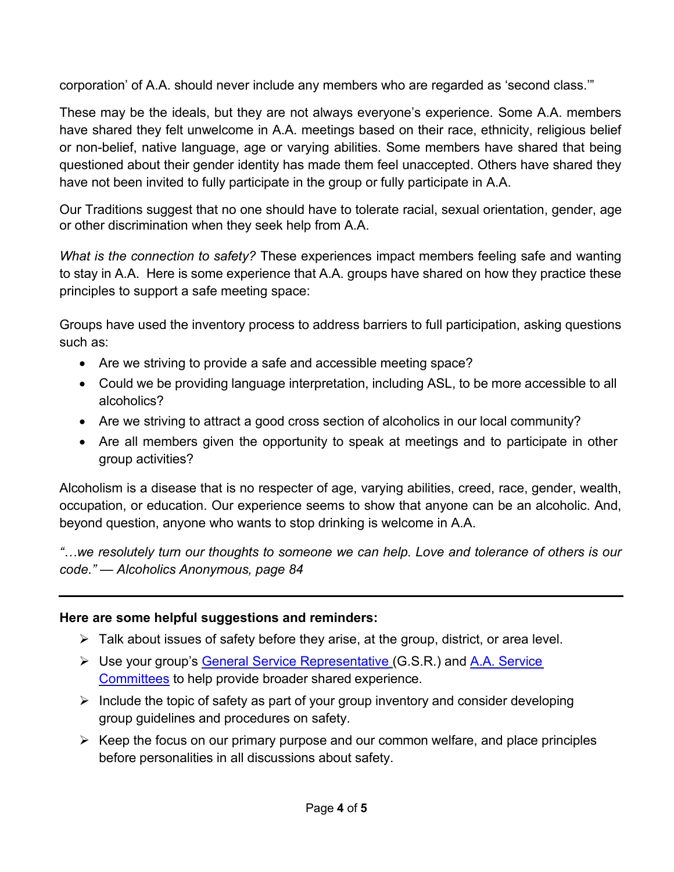corporation' of A.A. should never include any members who are regarded as 'second class.'"

These may be the ideals, but they are not always everyone's experience. Some A.A. members have shared they felt unwelcome in A.A. meetings based on their race, ethnicity, religious belief or non-belief, native language, age or varying abilities. Some members have shared that being questioned about their gender identity has made them feel unaccepted. Others have shared they have not been invited to fully participate in the group or fully participate in A.A.

Our Traditions suggest that no one should have to tolerate racial, sexual orientation, gender, age or other discrimination when they seek help from A.A.

*What is the connection to safety?* These experiences impact members feeling safe and wanting to stay in A.A. Here is some experience that A.A. groups have shared on how they practice these principles to support a safe meeting space:

Groups have used the inventory process to address barriers to full participation, asking questions such as:

- Are we striving to provide a safe and accessible meeting space?
- Could we be providing language interpretation, including ASL, to be more accessible to all alcoholics?
- Are we striving to attract a good cross section of alcoholics in our local community?
- Are all members given the opportunity to speak at meetings and to participate in other group activities?

Alcoholism is a disease that is no respecter of age, varying abilities, creed, race, gender, wealth, occupation, or education. Our experience seems to show that anyone can be an alcoholic. And, beyond question, anyone who wants to stop drinking is welcome in A.A.

*"…we resolutely turn our thoughts to someone we can help. Love and tolerance of others is our code." — Alcoholics Anonymous, page 84*

# **Here are some helpful suggestions and reminders:**

- $\triangleright$  Talk about issues of safety before they arise, at the group, district, or area level.
- Use your group's [General Service](https://www.aa.org/gsr-general-service-representative) Representative (G.S.R.) and [A.A. Service](https://www.aa.org/service-committees) [Committees](https://www.aa.org/service-committees) to help provide broader shared experience.
- $\triangleright$  Include the topic of safety as part of your group inventory and consider developing group guidelines and procedures on safety.
- $\triangleright$  Keep the focus on our primary purpose and our common welfare, and place principles before personalities in all discussions about safety.